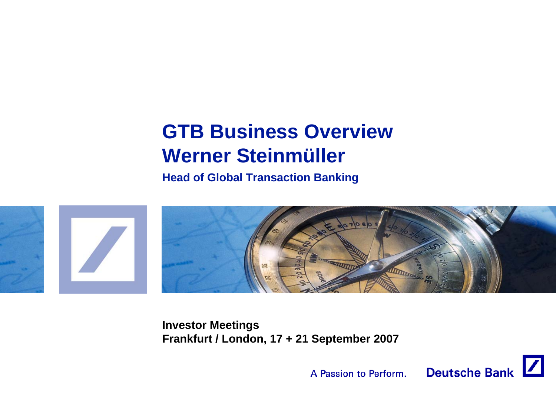# **GTB Business OverviewWerner Steinmüller**

**Head of Global Transaction Banking**



**Investor Meetings Frankfurt / London, 17 + 21 September 2007**

A Passion to Perform.

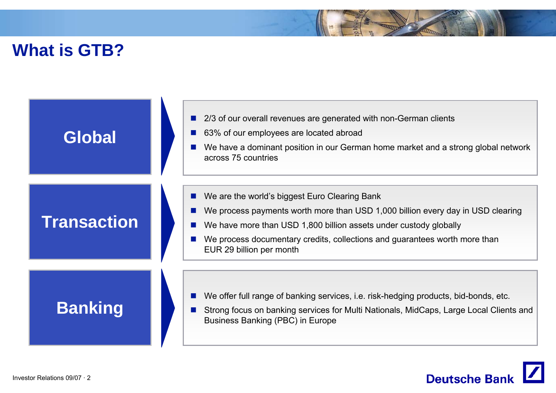## **What is GTB?**

| Global             | 2/3 of our overall revenues are generated with non-German clients<br>63% of our employees are located abroad<br>We have a dominant position in our German home market and a strong global network<br>across 75 countries                                                                                        |
|--------------------|-----------------------------------------------------------------------------------------------------------------------------------------------------------------------------------------------------------------------------------------------------------------------------------------------------------------|
| <b>Transaction</b> | We are the world's biggest Euro Clearing Bank<br>We process payments worth more than USD 1,000 billion every day in USD clearing<br>We have more than USD 1,800 billion assets under custody globally<br>We process documentary credits, collections and guarantees worth more than<br>EUR 29 billion per month |
| <b>Banking</b>     | We offer full range of banking services, i.e. risk-hedging products, bid-bonds, etc.<br>Strong focus on banking services for Multi Nationals, MidCaps, Large Local Clients and<br>Business Banking (PBC) in Europe                                                                                              |

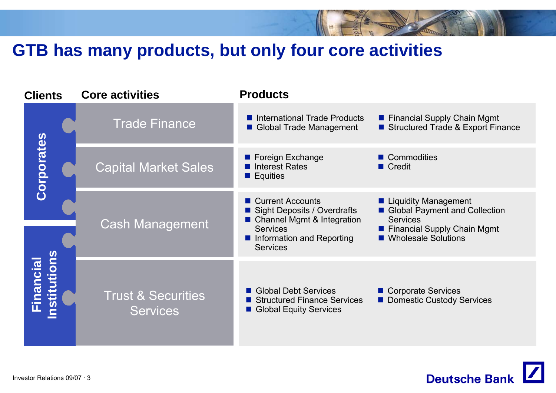# **GTB has many products, but only four core activities**

| <b>Clients</b>                  |  | <b>Core activities</b>                           | <b>Products</b>                                                                                                                                             |                                                                                                                                           |  |
|---------------------------------|--|--------------------------------------------------|-------------------------------------------------------------------------------------------------------------------------------------------------------------|-------------------------------------------------------------------------------------------------------------------------------------------|--|
|                                 |  | <b>Trade Finance</b>                             | International Trade Products<br>Global Trade Management                                                                                                     | ■ Financial Supply Chain Mgmt<br>Structured Trade & Export Finance                                                                        |  |
| Corporates                      |  | <b>Capital Market Sales</b>                      | ■ Foreign Exchange<br>Interest Rates<br>$\blacksquare$ Equities                                                                                             | ■ Commodities<br>$\blacksquare$ Credit                                                                                                    |  |
|                                 |  | <b>Cash Management</b>                           | ■ Current Accounts<br><b>Sight Deposits / Overdrafts</b><br>■ Channel Mgmt & Integration<br><b>Services</b><br>Information and Reporting<br><b>Services</b> | ■ Liquidity Management<br>Global Payment and Collection<br><b>Services</b><br><b>Financial Supply Chain Mgmt</b><br>■ Wholesale Solutions |  |
| nstitutions<br><b>Financial</b> |  | <b>Trust &amp; Securities</b><br><b>Services</b> | Global Debt Services<br>Structured Finance Services<br>Global Equity Services                                                                               | ■ Corporate Services<br>Domestic Custody Services                                                                                         |  |

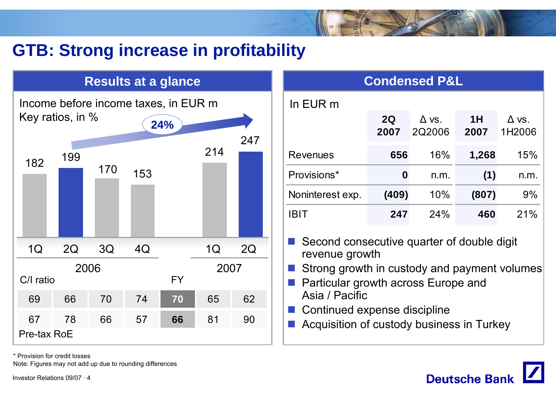# **GTB: Strong increase in profitability**

#### **Results at a glance**



\* Provision for credit losses

Note: Figures may not add up due to rounding differences

Investor Relations 09/07 · 4

| <b>Condensed P&amp;L</b> |            |                        |            |                        |  |
|--------------------------|------------|------------------------|------------|------------------------|--|
| In EUR m                 |            |                        |            |                        |  |
|                          | 2Q<br>2007 | $\Delta$ vs.<br>2Q2006 | 1H<br>2007 | $\Delta$ vs.<br>1H2006 |  |
| Revenues                 | 656        | 16%                    | 1,268      | 15%                    |  |
| Provisions*              | 0          | n.m.                   | (1)        | n.m.                   |  |
| Noninterest exp.         | (409)      | 10%                    | (807)      | 9%                     |  |
| IBIT                     | 247        | 24%                    | 460        | 21%                    |  |

■ Second consecutive quarter of double digit revenue growth

- F Strong growth in custody and payment volumes
- **Particular growth across Europe and** Asia / Pacific
- Continued expense discipline
- F Acquisition of custody business in Turkey

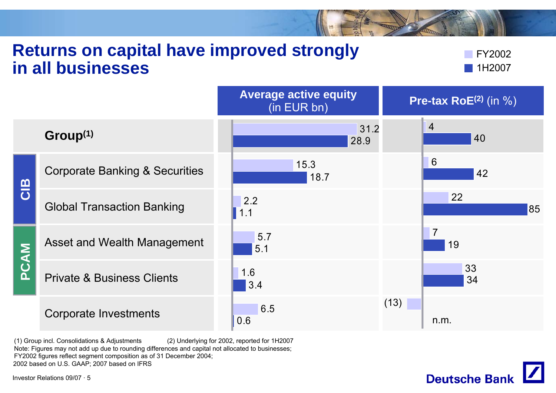#### **Returns on capital have improved strongly in all businesses**

FY20021H2007

|      |                                           | <b>Average active equity</b><br>(in EUR bn) | <b>Pre-tax RoE</b> $(2)$ (in $\%$ ) |
|------|-------------------------------------------|---------------------------------------------|-------------------------------------|
|      | Group <sup>(1)</sup>                      | 31.2<br>28.9                                | $\overline{4}$<br>40                |
| CIB  | <b>Corporate Banking &amp; Securities</b> | 15.3<br>18.7                                | 6<br>42                             |
|      | <b>Global Transaction Banking</b>         | 2.2<br>1.1                                  | 22<br>85                            |
|      | Asset and Wealth Management               | 5.7<br>5.1                                  | $\overline{7}$<br>19                |
| PCAM | <b>Private &amp; Business Clients</b>     | 1.6<br>3.4                                  | 33<br>34                            |
|      | <b>Corporate Investments</b>              | 6.5<br>0.6                                  | (13)<br>n.m.                        |

(1) Group incl. Consolidations & Adjustments (2) Underlying for 2002, reported for 1H2007 Note: Figures may not add up due to rounding differences and capital not allocated to businesses; FY2002 figures reflect segment composition as of 31 December 2004; 2002 based on U.S. GAAP; 2007 based on IFRS

**Deutsche Bank** 

Investor Relations 09/07 · 5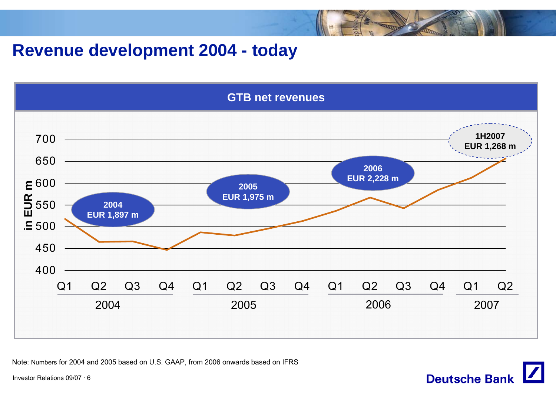### **Revenue development 2004 - today**



Note: Numbers for 2004 and 2005 based on U.S. GAAP, from 2006 onwards based on IFRS

Investor Relations 09/07 · 6

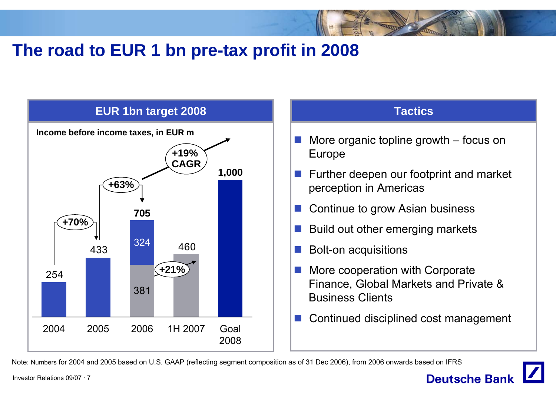# The road to EUR 1 bn pre-tax profit in 2008





Note: Numbers for 2004 and 2005 based on U.S. GAAP (reflecting segment composition as of 31 Dec 2006), from 2006 onwards based on IFRS

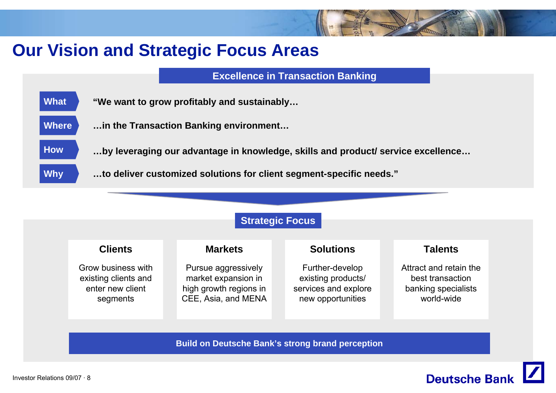# **Our Vision and Strategic Focus Areas**

**Excellence in Transaction Banking**

| <b>What</b> | "We want to grow profitably and sustainably |
|-------------|---------------------------------------------|
|-------------|---------------------------------------------|

- **Where…in the Transaction Banking environment…**
	- **…by leveraging our advantage in knowledge, skills and product/ service excellence…**
	- **…to deliver customized solutions for client segment-specific needs."**



**Build on Deutsche Bank's strong brand perception**



**How**

**Why**